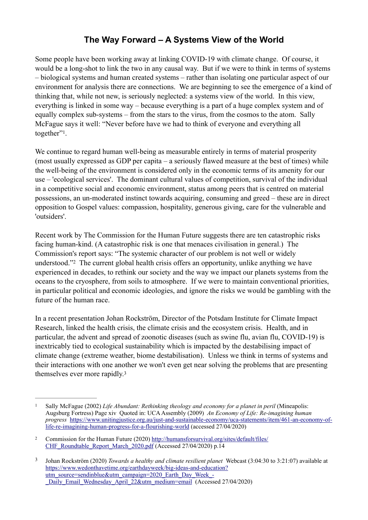## **The Way Forward – A Systems View of the World**

Some people have been working away at linking COVID-19 with climate change. Of course, it would be a long-shot to link the two in any causal way. But if we were to think in terms of systems – biological systems and human created systems – rather than isolating one particular aspect of our environment for analysis there are connections. We are beginning to see the emergence of a kind of thinking that, while not new, is seriously neglected: a systems view of the world. In this view, everything is linked in some way – because everything is a part of a huge complex system and of equally complex sub-systems – from the stars to the virus, from the cosmos to the atom. Sally McFague says it well: "Never before have we had to think of everyone and everything all together"<sup>[1](#page-0-0)</sup>.

<span id="page-0-3"></span>We continue to regard human well-being as measurable entirely in terms of material prosperity (most usually expressed as GDP per capita – a seriously flawed measure at the best of times) while the well-being of the environment is considered only in the economic terms of its amenity for our use – 'ecological services'. The dominant cultural values of competition, survival of the individual in a competitive social and economic environment, status among peers that is centred on material possessions, an un-moderated instinct towards acquiring, consuming and greed – these are in direct opposition to Gospel values: compassion, hospitality, generous giving, care for the vulnerable and 'outsiders'.

<span id="page-0-4"></span>Recent work by The Commission for the Human Future suggests there are ten catastrophic risks facing human-kind. (A catastrophic risk is one that menaces civilisation in general.) The Commission's report says: "The systemic character of our problem is not well or widely understood.["](#page-0-1)<sup>[2](#page-0-1)</sup> The current global health crisis offers an opportunity, unlike anything we have experienced in decades, to rethink our society and the way we impact our planets systems from the oceans to the cryosphere, from soils to atmosphere. If we were to maintain conventional priorities, in particular political and economic ideologies, and ignore the risks we would be gambling with the future of the human race.

In a recent presentation Johan Rockström, Director of the Potsdam Institute for Climate Impact Research, linked the health crisis, the climate crisis and the ecosystem crisis. Health, and in particular, the advent and spread of zoonotic diseases (such as swine flu, avian flu, COVID-19) is inextricably tied to ecological sustainability which is impacted by the destabilising impact of climate change (extreme weather, biome destabilisation). Unless we think in terms of systems and their interactions with one another we won't even get near solving the problems that are presenting themselves ever more rapidly.[3](#page-0-2)

<span id="page-0-5"></span><span id="page-0-0"></span>Sally McFague (2002) *Life Abundant: Rethinking theology and economy for a planet in peril* (Mineapolis: Augsburg Fortress) Page xiv Quoted in: UCA Assembly (2009) *An Economy of Life: Re-imagining human progress* [https://www.unitingjustice.org.au/just-and-sustainable-economy/uca-statements/item/461-an-economy-of](https://www.unitingjustice.org.au/just-and-sustainable-economy/uca-statements/item/461-an-economy-of-life-re-imagining-human-progress-for-a-flourishing-world)[life-re-imagining-human-progress-for-a-flourishing-world \(accessed 27/04/2020\)](https://www.unitingjustice.org.au/just-and-sustainable-economy/uca-statements/item/461-an-economy-of-life-re-imagining-human-progress-for-a-flourishing-world)

<span id="page-0-1"></span><sup>&</sup>lt;sup>2</sup> Commission for the Human Future (2020) [http://humansforsurvival.org/sites/default/files/](http://humansforsurvival.org/sites/default/files/CHF_Roundtable_Report_March_2020.pdf) [CHF\\_Roundtable\\_Report\\_March\\_2020.pdf \(Accessed 27/04/2020\) p.14](http://humansforsurvival.org/sites/default/files/CHF_Roundtable_Report_March_2020.pdf)

<span id="page-0-2"></span>Johan Rockström (2020) *Towards a healthy and climate resilient planet* Webcast (3:04:30 to 3:21:07) available at [3](#page-0-5) [https://www.wedonthavetime.org/earthdayweek/big-ideas-and-education?](https://www.wedonthavetime.org/earthdayweek/big-ideas-and-education?utm_source=sendinblue&utm_campaign=2020_Earth_Day_Week_-_Daily_Email_Wednesday_April_22&utm_medium=email) [utm\\_source=sendinblue&utm\\_campaign=2020\\_Earth\\_Day\\_Week\\_-](https://www.wedonthavetime.org/earthdayweek/big-ideas-and-education?utm_source=sendinblue&utm_campaign=2020_Earth_Day_Week_-_Daily_Email_Wednesday_April_22&utm_medium=email) Daily\_Email\_Wednesday\_April\_22&utm\_medium=email (Accessed 27/04/2020)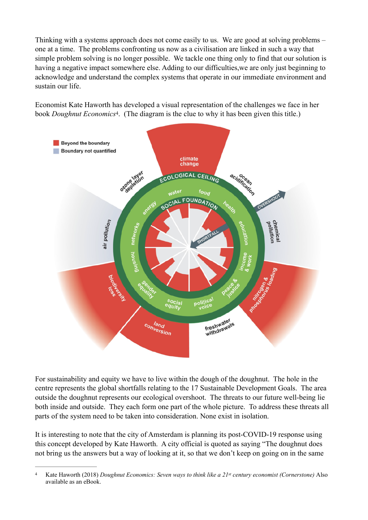Thinking with a systems approach does not come easily to us. We are good at solving problems – one at a time. The problems confronting us now as a civilisation are linked in such a way that simple problem solving is no longer possible. We tackle one thing only to find that our solution is having a negative impact somewhere else. Adding to our difficulties,we are only just beginning to acknowledge and understand the complex systems that operate in our immediate environment and sustain our life.

Economist Kate Haworth has developed a visual representation of the challenges we face in her book *Doughnut Economics*<sup>[4](#page-1-0)</sup>. (The diagram is the clue to why it has been given this title.)

<span id="page-1-1"></span>

For sustainability and equity we have to live within the dough of the doughnut. The hole in the centre represents the global shortfalls relating to the 17 Sustainable Development Goals. The area outside the doughnut represents our ecological overshoot. The threats to our future well-being lie both inside and outside. They each form one part of the whole picture. To address these threats all parts of the system need to be taken into consideration. None exist in isolation.

It is interesting to note that the city of Amsterdam is planning its post-COVID-19 response using this concept developed by Kate Haworth. A city official is quoted as saying "The doughnut does not bring us the answers but a way of looking at it, so that we don't keep on going on in the same

<span id="page-1-0"></span>Kate Haworth (2018) *Doughnut Economics: Seven ways to think like a 21st century economist (Cornerstone)* Also [4](#page-1-1) available as an eBook.